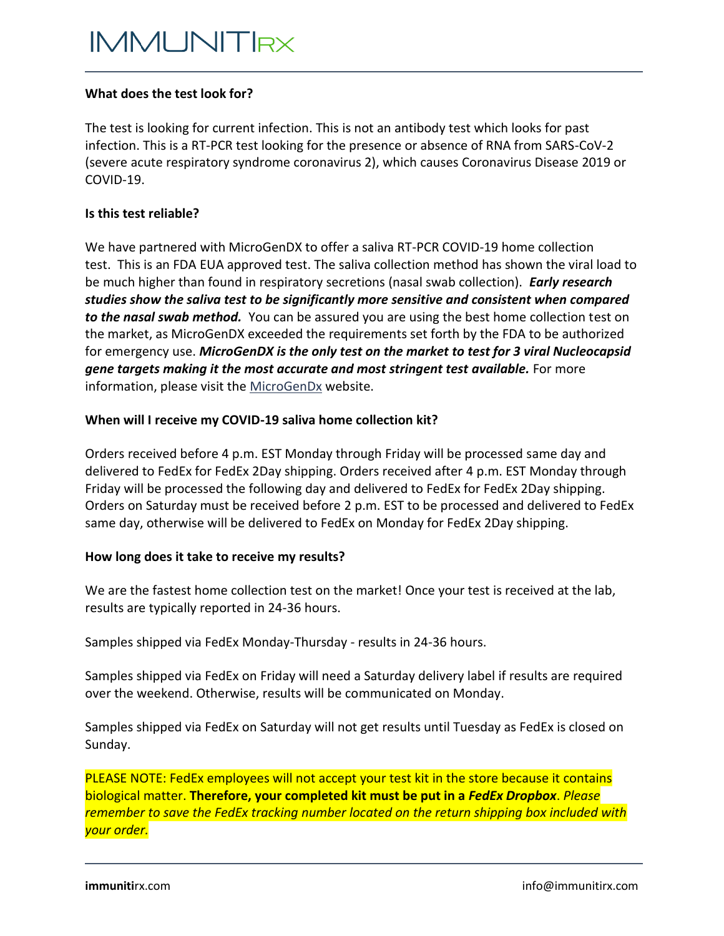# **IMMUNITRX**

## **What does the test look for?**

The test is looking for current infection. This is not an antibody test which looks for past infection. This is a RT-PCR test looking for the presence or absence of RNA from SARS-CoV-2 (severe acute respiratory syndrome coronavirus 2), which causes Coronavirus Disease 2019 or COVID-19.

#### **Is this test reliable?**

We have partnered with MicroGenDX to offer a saliva RT-PCR COVID-19 home collection test. This is an FDA EUA approved test. The saliva collection method has shown the viral load to be much higher than found in respiratory secretions (nasal swab collection). *Early research studies show the saliva test to be significantly more sensitive and consistent when compared to the nasal swab method.* You can be assured you are using the best home collection test on the market, as MicroGenDX exceeded the requirements set forth by the FDA to be authorized for emergency use. *MicroGenDX is the only test on the market to test for 3 viral Nucleocapsid gene targets making it the most accurate and most stringent test available.* For more information, please visit the [MicroGenDx](https://microgendx.com/covid19/) website.

## **When will I receive my COVID-19 saliva home collection kit?**

Orders received before 4 p.m. EST Monday through Friday will be processed same day and delivered to FedEx for FedEx 2Day shipping. Orders received after 4 p.m. EST Monday through Friday will be processed the following day and delivered to FedEx for FedEx 2Day shipping. Orders on Saturday must be received before 2 p.m. EST to be processed and delivered to FedEx same day, otherwise will be delivered to FedEx on Monday for FedEx 2Day shipping.

## **How long does it take to receive my results?**

We are the fastest home collection test on the market! Once your test is received at the lab, results are typically reported in 24-36 hours.

Samples shipped via FedEx Monday-Thursday - results in 24-36 hours.

Samples shipped via FedEx on Friday will need a Saturday delivery label if results are required over the weekend. Otherwise, results will be communicated on Monday.

Samples shipped via FedEx on Saturday will not get results until Tuesday as FedEx is closed on Sunday.

PLEASE NOTE: FedEx employees will not accept your test kit in the store because it contains biological matter. **Therefore, your completed kit must be put in a** *FedEx Dropbox*. *Please remember to save the FedEx tracking number located on the return shipping box included with your order.*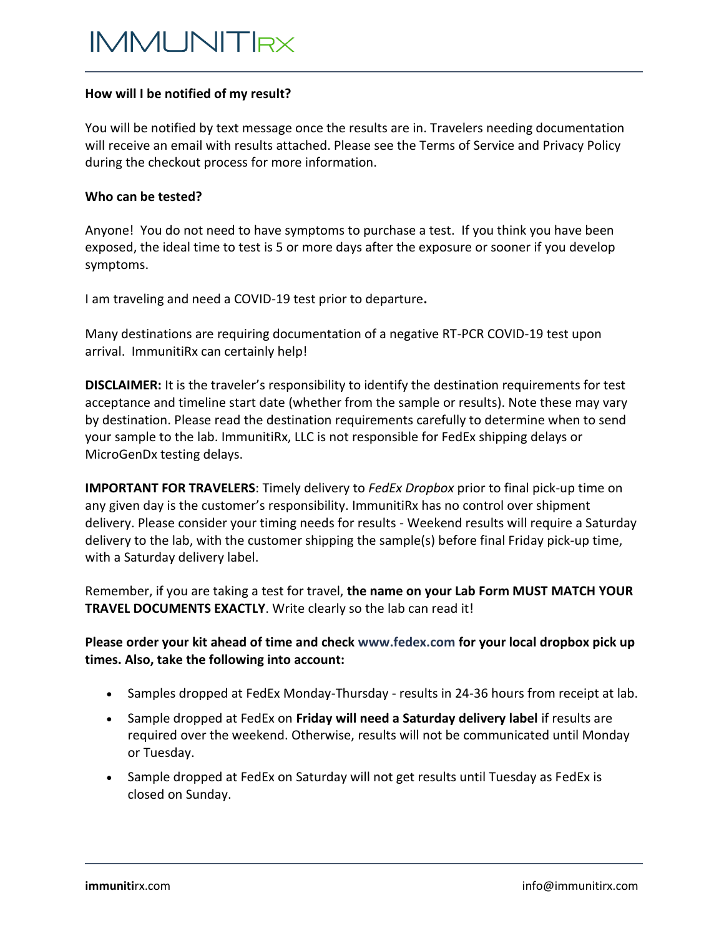## **How will I be notified of my result?**

You will be notified by text message once the results are in. Travelers needing documentation will receive an email with results attached. Please see the Terms of Service and Privacy Policy during the checkout process for more information.

#### **Who can be tested?**

Anyone! You do not need to have symptoms to purchase a test. If you think you have been exposed, the ideal time to test is 5 or more days after the exposure or sooner if you develop symptoms.

I am traveling and need a COVID-19 test prior to departure**.**

Many destinations are requiring documentation of a negative RT-PCR COVID-19 test upon arrival. ImmunitiRx can certainly help!

**DISCLAIMER:** It is the traveler's responsibility to identify the destination requirements for test acceptance and timeline start date (whether from the sample or results). Note these may vary by destination. Please read the destination requirements carefully to determine when to send your sample to the lab. ImmunitiRx, LLC is not responsible for FedEx shipping delays or MicroGenDx testing delays.

**IMPORTANT FOR TRAVELERS**: Timely delivery to *FedEx Dropbox* prior to final pick-up time on any given day is the customer's responsibility. ImmunitiRx has no control over shipment delivery. Please consider your timing needs for results - Weekend results will require a Saturday delivery to the lab, with the customer shipping the sample(s) before final Friday pick-up time, with a Saturday delivery label.

Remember, if you are taking a test for travel, **the name on your Lab Form MUST MATCH YOUR TRAVEL DOCUMENTS EXACTLY**. Write clearly so the lab can read it!

# **Please order your kit ahead of time and chec[k www.fedex.com](https://www.fedex.com/) for your local dropbox pick up times. Also, take the following into account:**

- Samples dropped at FedEx Monday-Thursday results in 24-36 hours from receipt at lab.
- Sample dropped at FedEx on **Friday will need a Saturday delivery label** if results are required over the weekend. Otherwise, results will not be communicated until Monday or Tuesday.
- Sample dropped at FedEx on Saturday will not get results until Tuesday as FedEx is closed on Sunday.